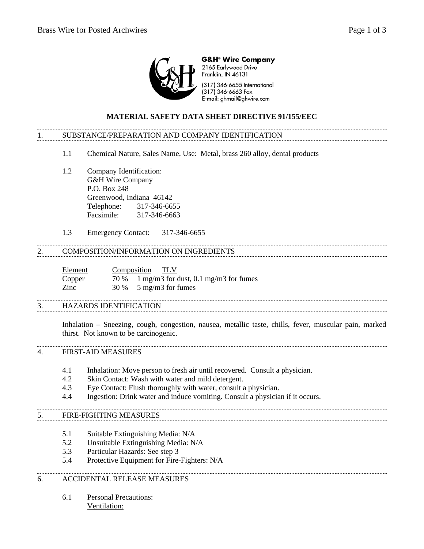

**G&H<sup>®</sup> Wire Company** 2165 Earlywood Drive Franklin, IN 46131

(317) 346-6655 International (317) 346-6663 Fax E-mail: ghmail@ghwire.com

## **MATERIAL SAFETY DATA SHEET DIRECTIVE 91/155/EEC**

# 1. SUBSTANCE/PREPARATION AND COMPANY IDENTIFICATION

- 1.1 Chemical Nature, Sales Name, Use: Metal, brass 260 alloy, dental products
- 1.2 Company Identification: G&H Wire Company P.O. Box 248 Greenwood, Indiana 46142 Telephone: 317-346-6655 Facsimile: 317-346-6663
- 1.3 Emergency Contact: 317-346-6655

## 2. COMPOSITION/INFORMATION ON INGREDIENTS

| Element | Composition | TLV                                          |
|---------|-------------|----------------------------------------------|
| Copper  |             | $70\%$ 1 mg/m3 for dust, 0.1 mg/m3 for fumes |
| Zinc    |             | $30\%$ 5 mg/m3 for fumes                     |

### 3. HAZARDS IDENTIFICATION

Inhalation – Sneezing, cough, congestion, nausea, metallic taste, chills, fever, muscular pain, marked thirst. Not known to be carcinogenic.

### 4. FIRST-AID MEASURES

- 4.1 Inhalation: Move person to fresh air until recovered. Consult a physician.
- 4.2 Skin Contact: Wash with water and mild detergent.
- 4.3 Eye Contact: Flush thoroughly with water, consult a physician.
- 4.4 Ingestion: Drink water and induce vomiting. Consult a physician if it occurs.

## 5. FIRE-FIGHTING MEASURES

- 5.1 Suitable Extinguishing Media: N/A
- 5.2 Unsuitable Extinguishing Media: N/A
- 5.3 Particular Hazards: See step 3
- 5.4 Protective Equipment for Fire-Fighters: N/A

## 6. ACCIDENTAL RELEASE MEASURES

6.1 Personal Precautions: Ventilation: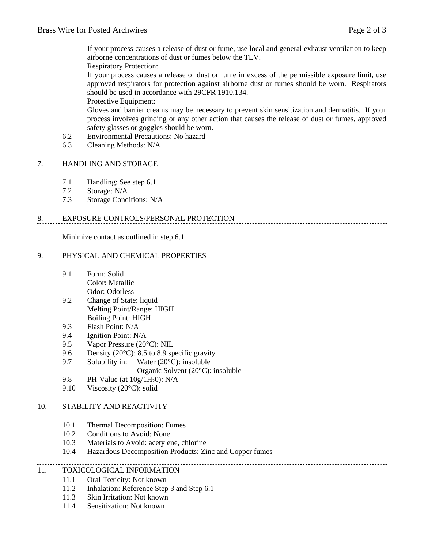If your process causes a release of dust or fume, use local and general exhaust ventilation to keep airborne concentrations of dust or fumes below the TLV.

Respiratory Protection:

If your process causes a release of dust or fume in excess of the permissible exposure limit, use approved respirators for protection against airborne dust or fumes should be worn. Respirators should be used in accordance with 29CFR 1910.134.

### Protective Equipment:

Gloves and barrier creams may be necessary to prevent skin sensitization and dermatitis. If your process involves grinding or any other action that causes the release of dust or fumes, approved safety glasses or goggles should be worn.

- 6.2 Environmental Precautions: No hazard
- 6.3 Cleaning Methods: N/A

## 7. HANDLING AND STORAGE

- 7.1 Handling: See step 6.1
- 7.2 Storage: N/A
- 7.3 Storage Conditions: N/A

#### 8. EXPOSURE CONTROLS/PERSONAL PROTECTION

Minimize contact as outlined in step 6.1

## 9. PHYSICAL AND CHEMICAL PROPERTIES

9.1 Form: Solid Color: Metallic

Odor: Odorless

- 9.2 Change of State: liquid Melting Point/Range: HIGH Boiling Point: HIGH
- 9.3 Flash Point: N/A
- 9.4 Ignition Point: N/A
- 9.5 Vapor Pressure (20°C): NIL
- 9.6 Density (20 $^{\circ}$ C): 8.5 to 8.9 specific gravity
- 9.7 Solubility in: Water (20°C): insoluble
	- Organic Solvent (20°C): insoluble
- 9.8 PH-Value (at  $10g/1H_20$ ): N/A
- 9.10 Viscosity (20°C): solid

## 10. STABILITY AND REACTIVITY

- 10.1 Thermal Decomposition: Fumes
- 10.2 Conditions to Avoid: None
- 10.3 Materials to Avoid: acetylene, chlorine
- 10.4 Hazardous Decomposition Products: Zinc and Copper fumes

### 11. TOXICOLOGICAL INFORMATION

- 11.1 Oral Toxicity: Not known
- 11.2 Inhalation: Reference Step 3 and Step 6.1
- 11.3 Skin Irritation: Not known
- 11.4 Sensitization: Not known